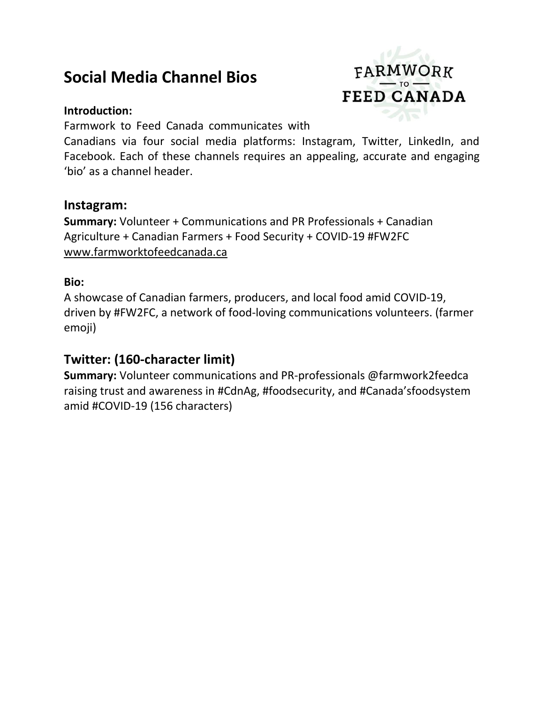# **Social Media Channel Bios**

#### **Introduction:**

FARMWORK **FEED CANADA** 

Farmwork to Feed Canada communicates with

Canadians via four social media platforms: Instagram, Twitter, LinkedIn, and Facebook. Each of these channels requires an appealing, accurate and engaging 'bio' as a channel header.

#### **Instagram:**

**Summary:** Volunteer + Communications and PR Professionals + Canadian Agriculture + Canadian Farmers + Food Security + COVID-19 #FW2FC [www.farmworktofeedcanada.ca](http://www.farmworktofeedcanada.ca/) 

#### **Bio:**

A showcase of Canadian farmers, producers, and local food amid COVID-19, driven by #FW2FC, a network of food-loving communications volunteers. (farmer emoji)

# **Twitter: (160-character limit)**

**Summary:** Volunteer communications and PR-professionals @farmwork2feedca raising trust and awareness in #CdnAg, #foodsecurity, and #Canada'sfoodsystem amid #COVID-19 (156 characters)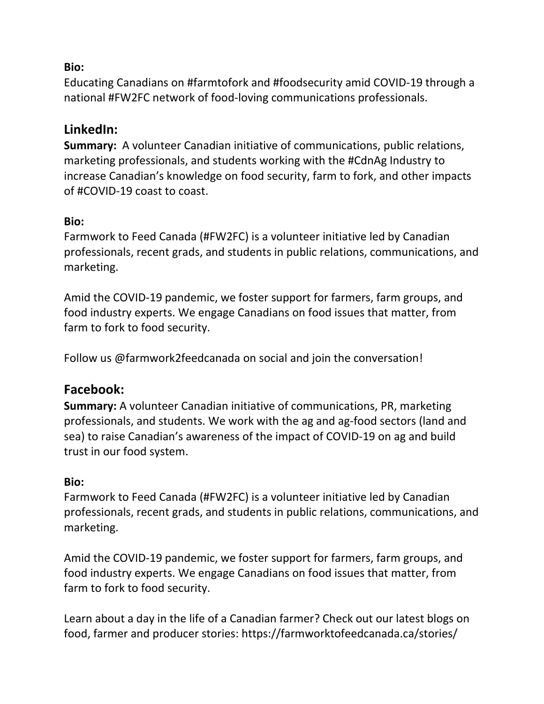## **Bio:**

Educating Canadians on #farmtofork and #foodsecurity amid COVID-19 through a national #FW2FC network of food-loving communications professionals.

# **LinkedIn:**

**Summary:** A volunteer Canadian initiative of communications, public relations, marketing professionals, and students working with the #CdnAg Industry to increase Canadian's knowledge on food security, farm to fork, and other impacts of #COVID-19 coast to coast.

### **Bio:**

Farmwork to Feed Canada (#FW2FC) is a volunteer initiative led by Canadian professionals, recent grads, and students in public relations, communications, and marketing.

Amid the COVID-19 pandemic, we foster support for farmers, farm groups, and food industry experts. We engage Canadians on food issues that matter, from farm to fork to food security.

Follow us @farmwork2feedcanada on social and join the conversation!

# **Facebook:**

**Summary:** A volunteer Canadian initiative of communications, PR, marketing professionals, and students. We work with the ag and ag-food sectors (land and sea) to raise Canadian's awareness of the impact of COVID-19 on ag and build trust in our food system.

## **Bio:**

Farmwork to Feed Canada (#FW2FC) is a volunteer initiative led by Canadian professionals, recent grads, and students in public relations, communications, and marketing.

Amid the COVID-19 pandemic, we foster support for farmers, farm groups, and food industry experts. We engage Canadians on food issues that matter, from farm to fork to food security.

Learn about a day in the life of a Canadian farmer? Check out our latest blogs on food, farmer and producer stories: <https://farmworktofeedcanada.ca/stories/>